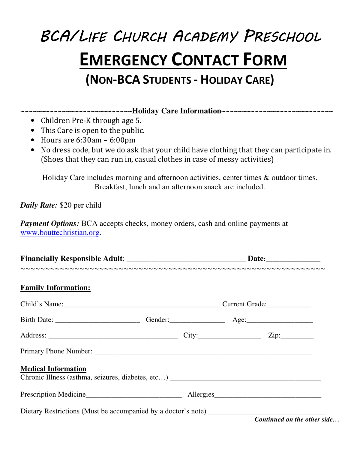## BCA/LIFE CHURCH ACADEMY PRESCHOOL **EMERGENCY CONTACT FORM (NON-BCA STUDENTS - HOLIDAY CARE)**

**~~~~~~~~~~~~~~~~~~~~~~~~~~~Holiday Care Information~~~~~~~~~~~~~~~~~~~~~~~~~~~** 

- Children Pre-K through age 5.
- This Care is open to the public.
- Hours are 6:30am 6:00pm
- No dress code, but we do ask that your child have clothing that they can participate in. (Shoes that they can run in, casual clothes in case of messy activities)

Holiday Care includes morning and afternoon activities, center times & outdoor times. Breakfast, lunch and an afternoon snack are included.

*Daily Rate:* \$20 per child

*Payment Options:* BCA accepts checks, money orders, cash and online payments at www.bouttechristian.org.

| <b>Family Information:</b> |  |
|----------------------------|--|
|                            |  |
|                            |  |
|                            |  |
|                            |  |
| <b>Medical Information</b> |  |
|                            |  |
|                            |  |

*Continued on the other side…*